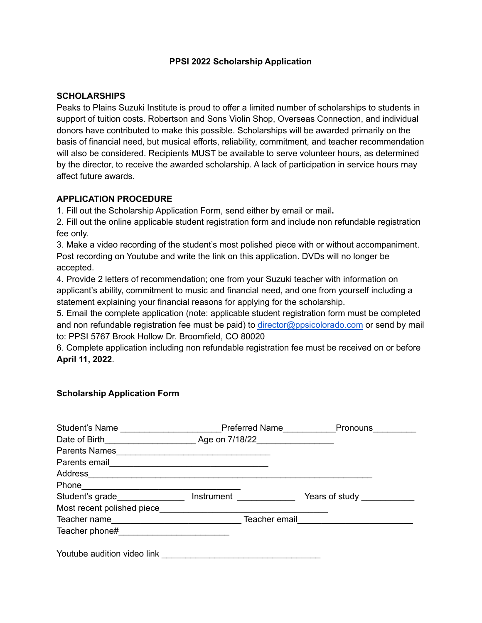## **PPSI 2022 Scholarship Application**

## **SCHOLARSHIPS**

Peaks to Plains Suzuki Institute is proud to offer a limited number of scholarships to students in support of tuition costs. Robertson and Sons Violin Shop, Overseas Connection, and individual donors have contributed to make this possible. Scholarships will be awarded primarily on the basis of financial need, but musical efforts, reliability, commitment, and teacher recommendation will also be considered. Recipients MUST be available to serve volunteer hours, as determined by the director, to receive the awarded scholarship. A lack of participation in service hours may affect future awards.

## **APPLICATION PROCEDURE**

1. Fill out the Scholarship Application Form, send either by email or mail**.**

2. Fill out the online applicable student registration form and include non refundable registration fee only.

3. Make a video recording of the student's most polished piece with or without accompaniment. Post recording on Youtube and write the link on this application. DVDs will no longer be accepted.

4. Provide 2 letters of recommendation; one from your Suzuki teacher with information on applicant's ability, commitment to music and financial need, and one from yourself including a statement explaining your financial reasons for applying for the scholarship.

5. Email the complete application (note: applicable student registration form must be completed and non refundable registration fee must be paid) to [director@ppsicolorado.com](mailto:director@ppsicolorado.com) or send by mail to: PPSI 5767 Brook Hollow Dr. Broomfield, CO 80020

6. Complete application including non refundable registration fee must be received on or before **April 11, 2022**.

## **Scholarship Application Form**

| Student's Name                                                                                                                                                                                                                       | Preferred Name               |            | Pronouns                  |
|--------------------------------------------------------------------------------------------------------------------------------------------------------------------------------------------------------------------------------------|------------------------------|------------|---------------------------|
|                                                                                                                                                                                                                                      | Date of Birth Age on 7/18/22 |            |                           |
| Parents Names <b>Executive Service Contract Contract Contract Contract Contract Contract Contract Contract Contract Contract Contract Contract Contract Contract Contract Contract Contract Contract Contract Contract Contract </b> |                              |            |                           |
| Parents email <b>Example 20</b> Parents email                                                                                                                                                                                        |                              |            |                           |
| Address                                                                                                                                                                                                                              |                              |            |                           |
| Phone                                                                                                                                                                                                                                |                              |            |                           |
| Student's grade                                                                                                                                                                                                                      |                              | Instrument | Years of study __________ |
| Most recent polished piece                                                                                                                                                                                                           |                              |            |                           |
| Teacher name                                                                                                                                                                                                                         |                              |            |                           |
|                                                                                                                                                                                                                                      |                              |            |                           |
| Youtube audition video link                                                                                                                                                                                                          |                              |            |                           |